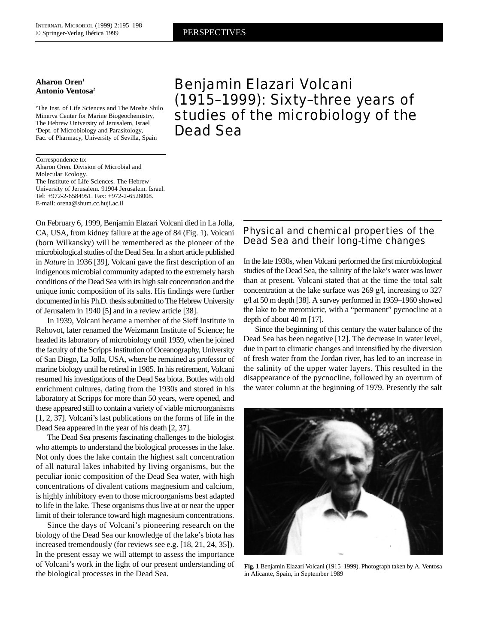#### **Aharon Oren1 Antonio Ventosa2**

1 The Inst. of Life Sciences and The Moshe Shilo Minerva Center for Marine Biogeochemistry, The Hebrew University of Jerusalem, Israel 2 Dept. of Microbiology and Parasitology, Fac. of Pharmacy, University of Sevilla, Spain

Correspondence to: Aharon Oren. Division of Microbial and Molecular Ecology. The Institute of Life Sciences. The Hebrew University of Jerusalem. 91904 Jerusalem. Israel. Tel: +972-2-6584951. Fax: +972-2-6528008. E-mail: orena@shum.cc.huji.ac.il

On February 6, 1999, Benjamin Elazari Volcani died in La Jolla, CA, USA, from kidney failure at the age of 84 (Fig. 1). Volcani (born Wilkansky) will be remembered as the pioneer of the microbiological studies of the Dead Sea. In a short article published in *Nature* in 1936 [39], Volcani gave the first description of an indigenous microbial community adapted to the extremely harsh conditions of the Dead Sea with its high salt concentration and the unique ionic composition of its salts. His findings were further documented in his Ph.D. thesis submitted to The Hebrew University of Jerusalem in 1940 [5] and in a review article [38].

In 1939, Volcani became a member of the Sieff Institute in Rehovot, later renamed the Weizmann Institute of Science; he headed its laboratory of microbiology until 1959, when he joined the faculty of the Scripps Institution of Oceanography, University of San Diego, La Jolla, USA, where he remained as professor of marine biology until he retired in 1985. In his retirement, Volcani resumed his investigations of the Dead Sea biota. Bottles with old enrichment cultures, dating from the 1930s and stored in his laboratory at Scripps for more than 50 years, were opened, and these appeared still to contain a variety of viable microorganisms [1, 2, 37]. Volcani's last publications on the forms of life in the Dead Sea appeared in the year of his death [2, 37].

The Dead Sea presents fascinating challenges to the biologist who attempts to understand the biological processes in the lake. Not only does the lake contain the highest salt concentration of all natural lakes inhabited by living organisms, but the peculiar ionic composition of the Dead Sea water, with high concentrations of divalent cations magnesium and calcium, is highly inhibitory even to those microorganisms best adapted to life in the lake. These organisms thus live at or near the upper limit of their tolerance toward high magnesium concentrations.

Since the days of Volcani's pioneering research on the biology of the Dead Sea our knowledge of the lake's biota has increased tremendously (for reviews see e.g. [18, 21, 24, 35]). In the present essay we will attempt to assess the importance of Volcani's work in the light of our present understanding of the biological processes in the Dead Sea.

Benjamin Elazari Volcani (1915–1999): Sixty–three years of studies of the microbiology of the Dead Sea

# Physical and chemical properties of the Dead Sea and their long-time changes

In the late 1930s, when Volcani performed the first microbiological studies of the Dead Sea, the salinity of the lake's water was lower than at present. Volcani stated that at the time the total salt concentration at the lake surface was 269 g/l, increasing to 327 g/l at 50 m depth [38]. A survey performed in 1959–1960 showed the lake to be meromictic, with a "permanent" pycnocline at a depth of about 40 m [17].

Since the beginning of this century the water balance of the Dead Sea has been negative [12]. The decrease in water level, due in part to climatic changes and intensified by the diversion of fresh water from the Jordan river, has led to an increase in the salinity of the upper water layers. This resulted in the disappearance of the pycnocline, followed by an overturn of the water column at the beginning of 1979. Presently the salt



**Fig. 1** Benjamin Elazari Volcani (1915–1999). Photograph taken by A. Ventosa in Alicante, Spain, in September 1989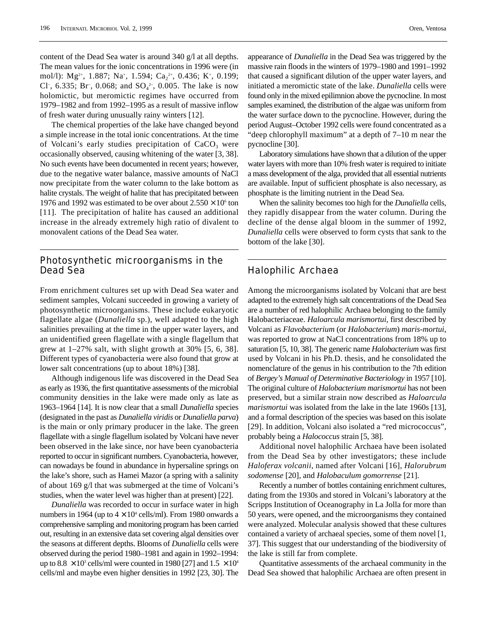content of the Dead Sea water is around 340 g/l at all depths. The mean values for the ionic concentrations in 1996 were (in mol/l): Mg<sup>2+</sup>, 1.887; Na<sup>+</sup>, 1.594; Ca<sub>2</sub><sup>2+</sup>, 0.436; K<sup>+</sup>, 0.199; Cl<sup>-</sup>, 6.335; Br<sup>-</sup>, 0.068; and SO<sub>4</sub><sup>2-</sup>, 0.005. The lake is now holomictic, but meromictic regimes have occurred from 1979–1982 and from 1992–1995 as a result of massive inflow of fresh water during unusually rainy winters [12].

The chemical properties of the lake have changed beyond a simple increase in the total ionic concentrations. At the time of Volcani's early studies precipitation of  $CaCO<sub>3</sub>$  were occasionally observed, causing whitening of the water [3, 38]. No such events have been documented in recent years; however, due to the negative water balance, massive amounts of NaCl now precipitate from the water column to the lake bottom as halite crystals. The weight of halite that has precipitated between 1976 and 1992 was estimated to be over about  $2.550 \times 10^6$  ton [11]. The precipitation of halite has caused an additional increase in the already extremely high ratio of divalent to monovalent cations of the Dead Sea water.

### Photosynthetic microorganisms in the Dead Sea

From enrichment cultures set up with Dead Sea water and sediment samples, Volcani succeeded in growing a variety of photosynthetic microorganisms. These include eukaryotic flagellate algae (*Dunaliella* sp.), well adapted to the high salinities prevailing at the time in the upper water layers, and an unidentified green flagellate with a single flagellum that grew at  $1-27\%$  salt, with slight growth at 30% [5, 6, 38]. Different types of cyanobacteria were also found that grow at lower salt concentrations (up to about 18%) [38].

Although indigenous life was discovered in the Dead Sea as early as 1936, the first quantitative assessments of the microbial community densities in the lake were made only as late as 1963–1964 [14]. It is now clear that a small *Dunaliella* species (designated in the past as *Dunaliella viridis* or *Dunaliella parva*) is the main or only primary producer in the lake. The green flagellate with a single flagellum isolated by Volcani have never been observed in the lake since, nor have been cyanobacteria reported to occur in significant numbers. Cyanobacteria, however, can nowadays be found in abundance in hypersaline springs on the lake's shore, such as Hamei Mazor (a spring with a salinity of about 169 g/l that was submerged at the time of Volcani's studies, when the water level was higher than at present) [22].

*Dunaliella* was recorded to occur in surface water in high numbers in 1964 (up to  $4 \times 10^4$  cells/ml). From 1980 onwards a comprehensive sampling and monitoring program has been carried out, resulting in an extensive data set covering algal densities over the seasons at different depths. Blooms of *Dunaliella* cells were observed during the period 1980–1981 and again in 1992–1994: up to 8.8  $\times$  10<sup>3</sup> cells/ml were counted in 1980 [27] and 1.5  $\times$  10<sup>4</sup> cells/ml and maybe even higher densities in 1992 [23, 30]. The appearance of *Dunaliella* in the Dead Sea was triggered by the massive rain floods in the winters of 1979–1980 and 1991–1992 that caused a significant dilution of the upper water layers, and initiated a meromictic state of the lake. *Dunaliella* cells were found only in the mixed epilimnion above the pycnocline. In most samples examined, the distribution of the algae was uniform from the water surface down to the pycnocline. However, during the period August–October 1992 cells were found concentrated as a "deep chlorophyll maximum" at a depth of 7–10 m near the pycnocline [30].

Laboratory simulations have shown that a dilution of the upper water layers with more than 10% fresh water is required to initiate a mass development of the alga, provided that all essential nutrients are available. Input of sufficient phosphate is also necessary, as phosphate is the limiting nutrient in the Dead Sea.

When the salinity becomes too high for the *Dunaliella* cells, they rapidly disappear from the water column. During the decline of the dense algal bloom in the summer of 1992, *Dunaliella* cells were observed to form cysts that sank to the bottom of the lake [30].

# Halophilic Archaea

Among the microorganisms isolated by Volcani that are best adapted to the extremely high salt concentrations of the Dead Sea are a number of red halophilic Archaea belonging to the family Halobacteriaceae. *Haloarcula marismortui*, first described by Volcani as *Flavobacterium* (or *Halobacterium*) *maris-mortui*, was reported to grow at NaCl concentrations from 18% up to saturation [5, 10, 38]. The generic name *Halobacterium* was first used by Volcani in his Ph.D. thesis, and he consolidated the nomenclature of the genus in his contribution to the 7th edition of *Bergey's Manual of Determinative Bacteriology* in 1957 [10]. The original culture of *Halobacterium marismortui* has not been preserved, but a similar strain now described as *Haloarcula marismortui* was isolated from the lake in the late 1960s [13], and a formal description of the species was based on this isolate [29]. In addition, Volcani also isolated a "red micrococcus", probably being a *Halococcus* strain [5, 38].

Additional novel halophilic Archaea have been isolated from the Dead Sea by other investigators; these include *Haloferax volcanii*, named after Volcani [16], *Halorubrum sodomense* [20], and *Halobaculum gomorrense* [21].

Recently a number of bottles containing enrichment cultures, dating from the 1930s and stored in Volcani's laboratory at the Scripps Institution of Oceanography in La Jolla for more than 50 years, were opened, and the microorganisms they contained were analyzed. Molecular analysis showed that these cultures contained a variety of archaeal species, some of them novel [1, 37]. This suggest that our understanding of the biodiversity of the lake is still far from complete.

Quantitative assessments of the archaeal community in the Dead Sea showed that halophilic Archaea are often present in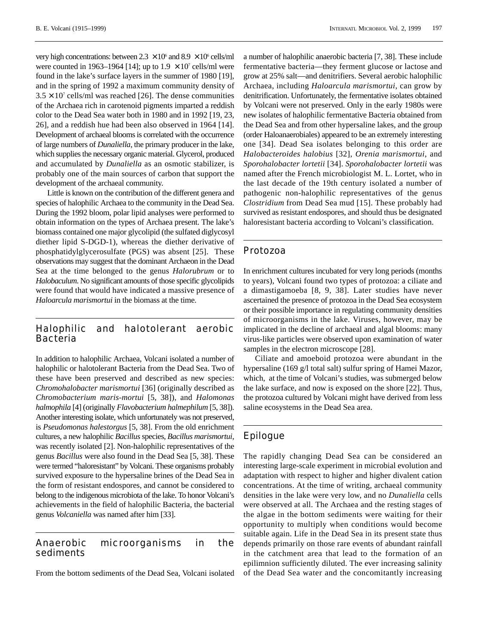very high concentrations: between  $2.3 \times 10^6$  and  $8.9 \times 10^6$  cells/ml were counted in 1963–1964 [14]; up to  $1.9 \times 10^7$  cells/ml were found in the lake's surface layers in the summer of 1980 [19], and in the spring of 1992 a maximum community density of  $3.5 \times 10^7$  cells/ml was reached [26]. The dense communities of the Archaea rich in carotenoid pigments imparted a reddish color to the Dead Sea water both in 1980 and in 1992 [19, 23, 26], and a reddish hue had been also observed in 1964 [14]. Development of archaeal blooms is correlated with the occurrence of large numbers of *Dunaliella*, the primary producer in the lake, which supplies the necessary organic material. Glycerol, produced and accumulated by *Dunaliella* as an osmotic stabilizer, is probably one of the main sources of carbon that support the development of the archaeal community.

Little is known on the contribution of the different genera and species of halophilic Archaea to the community in the Dead Sea. During the 1992 bloom, polar lipid analyses were performed to obtain information on the types of Archaea present. The lake's biomass contained one major glycolipid (the sulfated diglycosyl diether lipid S-DGD-1), whereas the diether derivative of phosphatidylglycerosulfate (PGS) was absent [25]. These observations may suggest that the dominant Archaeon in the Dead Sea at the time belonged to the genus *Halorubrum* or to *Halobaculum*. No significant amounts of those specific glycolipids were found that would have indicated a massive presence of *Haloarcula marismortui* in the biomass at the time.

### Halophilic and halotolerant aerobic Bacteria

In addition to halophilic Archaea, Volcani isolated a number of halophilic or halotolerant Bacteria from the Dead Sea. Two of these have been preserved and described as new species: *Chromohalobacter marismortui* [36] (originally described as *Chromobacterium maris-mortui* [5, 38]), and *Halomonas halmophila* [4] (originally *Flavobacterium halmephilum* [5, 38]). Another interesting isolate, which unfortunately was not preserved, is *Pseudomonas halestorgus* [5, 38]. From the old enrichment cultures, a new halophilic *Bacillus*species, *Bacillus marismortui*, was recently isolated [2]. Non-halophilic representatives of the genus *Bacillus* were also found in the Dead Sea [5, 38]. These were termed "haloresistant" by Volcani. These organisms probably survived exposure to the hypersaline brines of the Dead Sea in the form of resistant endospores, and cannot be considered to belong to the indigenous microbiota of the lake. To honor Volcani's achievements in the field of halophilic Bacteria, the bacterial genus *Volcaniella* was named after him [33].

Anaerobic microorganisms in the sediments

From the bottom sediments of the Dead Sea, Volcani isolated

a number of halophilic anaerobic bacteria [7, 38]. These include fermentative bacteria—they ferment glucose or lactose and grow at 25% salt—and denitrifiers. Several aerobic halophilic Archaea, including *Haloarcula marismortui*, can grow by denitrification. Unfortunately, the fermentative isolates obtained by Volcani were not preserved. Only in the early 1980s were new isolates of halophilic fermentative Bacteria obtained from the Dead Sea and from other hypersaline lakes, and the group (order Haloanaerobiales) appeared to be an extremely interesting one [34]. Dead Sea isolates belonging to this order are *Halobacteroides halobius* [32], *Orenia marismortui*, and *Sporohalobacter lortetii* [34]. *Sporohalobacter lortetii* was named after the French microbiologist M. L. Lortet, who in the last decade of the 19th century isolated a number of pathogenic non-halophilic representatives of the genus *Clostridium* from Dead Sea mud [15]. These probably had survived as resistant endospores, and should thus be designated haloresistant bacteria according to Volcani's classification.

### Protozoa

In enrichment cultures incubated for very long periods (months to years), Volcani found two types of protozoa: a ciliate and a dimastigamoeba [8, 9, 38]. Later studies have never ascertained the presence of protozoa in the Dead Sea ecosystem or their possible importance in regulating community densities of microorganisms in the lake. Viruses, however, may be implicated in the decline of archaeal and algal blooms: many virus-like particles were observed upon examination of water samples in the electron microscope [28].

Ciliate and amoeboid protozoa were abundant in the hypersaline (169 g/l total salt) sulfur spring of Hamei Mazor, which, at the time of Volcani's studies, was submerged below the lake surface, and now is exposed on the shore [22]. Thus, the protozoa cultured by Volcani might have derived from less saline ecosystems in the Dead Sea area.

# Epilogue

The rapidly changing Dead Sea can be considered an interesting large-scale experiment in microbial evolution and adaptation with respect to higher and higher divalent cation concentrations. At the time of writing, archaeal community densities in the lake were very low, and no *Dunaliella* cells were observed at all. The Archaea and the resting stages of the algae in the bottom sediments were waiting for their opportunity to multiply when conditions would become suitable again. Life in the Dead Sea in its present state thus depends primarily on those rare events of abundant rainfall in the catchment area that lead to the formation of an epilimnion sufficiently diluted. The ever increasing salinity of the Dead Sea water and the concomitantly increasing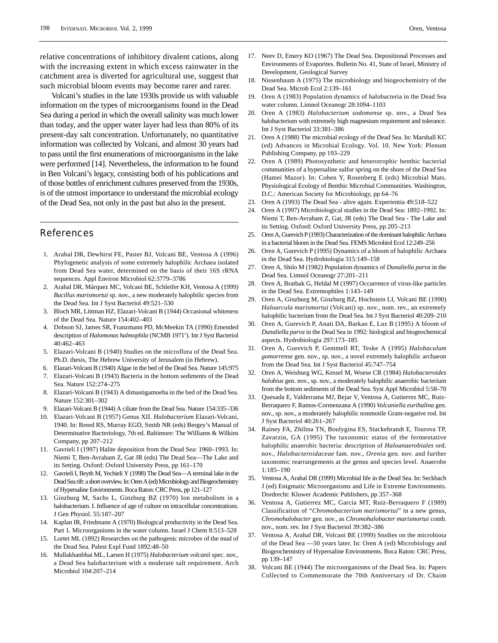relative concentrations of inhibitory divalent cations, along with the increasing extent in which excess rainwater in the catchment area is diverted for agricultural use, suggest that such microbial bloom events may become rarer and rarer.

Volcani's studies in the late 1930s provide us with valuable information on the types of microorganisms found in the Dead Sea during a period in which the overall salinity was much lower than today, and the upper water layer had less than 80% of its present-day salt concentration. Unfortunately, no quantitative information was collected by Volcani, and almost 30 years had to pass until the first enumerations of microorganisms in the lake were performed [14]. Nevertheless, the information to be found in Ben Volcani's legacy, consisting both of his publications and of those bottles of enrichment cultures preserved from the 1930s, is of the utmost importance to understand the microbial ecology of the Dead Sea, not only in the past but also in the present.

### References

- 1. Arahal DR, Dewhirst FE, Paster BJ, Volcani BE, Ventosa A (1996) Phylogenetic analysis of some extremely halophilic Archaea isolated from Dead Sea water, determined on the basis of their 16S rRNA sequences. Appl Environ Microbiol 62:3779–3786
- 2. Arahal DR, Márquez MC, Volcani BE, Schleifer KH, Ventosa A (1999*) Bacillus marismortui* sp. nov., a new moderately halophilic species from the Dead Sea. Int J Syst Bacteriol 49:521–530
- 3. Bloch MR, Littman HZ, Elazari-Volcani B (1944) Occasional whiteness of the Dead Sea. Nature 154:402–403
- 4. Dobson SJ, James SR, Franzmann PD, McMeekin TA (1990) Emended description of *Halomonas halmophila* (NCMB 1971T ). Int J Syst Bacteriol 40:462–463
- 5. Elazari-Volcani B (1940) Studies on the microflora of the Dead Sea. Ph.D. thesis, The Hebrew University of Jerusalem (in Hebrew).
- 6. Elazari-Volcani B (1940) Algae in the bed of the Dead Sea. Nature 145:975
- 7. Elazari-Volcani B (1943) Bacteria in the bottom sediments of the Dead Sea. Nature 152:274–275
- 8. Elazari-Volcani B (1943) A dimastigamoeba in the bed of the Dead Sea. Nature 152:301–302
- 9. Elazari-Volcani B (1944) A ciliate from the Dead Sea. Nature 154:335–336
- 10. Elazari-Volcani B (1957) Genus XII. *Halobacterium* Elazari-Volcani, 1940. In: Breed RS, Murray EGD, Smith NR (eds) Bergey's Manual of Determinative Bacteriology, 7th ed. Baltimore: The Williams & Wilkins Company, pp 207–212
- 11. Gavrieli I (1997) Halite deposition from the Dead Sea: 1960–1993. In: Niemi T, Ben-Avraham Z, Gat JR (eds) The Dead Sea—The Lake and its Setting. Oxford: Oxford University Press, pp 161–170
- 12. Gavrieli I, Beyth M, Yechieli Y (1998) The Dead Sea—A terminal lake in the Dead Sea rift: a short overview. In: Oren A (ed) Microbiology and Biogeochemistry of Hypersaline Environments. Boca Raton: CRC Press, pp 121–127
- 13. Ginzburg M, Sachs L, Ginzburg BZ (1970) Ion metabolism in a halobacterium. I. Influence of age of culture on intracellular concentrations. J Gen Physiol. 55:187–207
- 14. Kaplan IR, Friedmann A (1970) Biological productivity in the Dead Sea. Part 1. Microorganisms in the water column. Israel J Chem 8:513–528
- 15. Lortet ML (1892) Researches on the pathogenic microbes of the mud of the Dead Sea. Palest Expl Fund 1892:48–50
- 16. Mullakhanbhai ML, Larsen H (1975) *Halobacterium volcanii* spec. nov., a Dead Sea halobacterium with a moderate salt requirement. Arch Microbiol 104:207–214
- 17. Neev D, Emery KO (1967) The Dead Sea. Depositional Processes and Environments of Evaporites. Bulletin No. 41, State of Israel, Ministry of Development, Geological Survey
- 18. Nissenbaum A (1975) The microbiology and biogeochemistry of the Dead Sea. Microb Ecol 2:139–161
- 19. Oren A (1983) Population dynamics of halobacteria in the Dead Sea water column. Limnol Oceanogr 28:1094–1103
- 20. Oren A (1983) *Halobacterium sodomense* sp. nov., a Dead Sea halobacterium with extremely high magnesium requirement and tolerance. Int J Syst Bacteriol 33:381–386
- 21. Oren A (1988) The microbial ecology of the Dead Sea. In: Marshall KC (ed) Advances in Microbial Ecology. Vol. 10. New York: Plenum Publishing Company, pp 193–229
- 22. Oren A (1989) Photosynthetic and heterotrophic benthic bacterial communities of a hypersaline sulfur spring on the shore of the Dead Sea (Hamei Mazor). In: Cohen Y, Rosenberg E (eds) Microbial Mats. Physiological Ecology of Benthic Microbial Communities. Washington, D.C.: American Society for Microbiology, pp 64–76
- 23. Oren A (1993) The Dead Sea alive again. Experientia 49:518–522
- 24. Oren A (1997) Microbiological studies in the Dead Sea: 1892–1992. In: Niemi T, Ben-Avraham Z, Gat, JR (eds) The Dead Sea - The Lake and its Setting. Oxford: Oxford University Press, pp 205–213
- 25. Oren A, Gurevich P (1993) Characterization of the dominant halophilic Archaea in a bacterial bloom in the Dead Sea. FEMS Microbiol Ecol 12:249–256
- 26. Oren A, Gurevich P (1995) Dynamics of a bloom of halophilic Archaea in the Dead Sea. Hydrobiologia 315:149–158
- 27. Oren A, Shilo M (1982) Population dynamics of *Dunaliella parva* in the Dead Sea. Limnol Oceanogr 27:201–211
- 28. Oren A, Bratbak G, Heldal M (1997) Occurrence of virus-like particles in the Dead Sea. Extremophiles 1:143–149
- 29. Oren A, Ginzburg M, Ginzburg BZ, Hochstein LI, Volcani BE (1990) *Haloarcula marismortui* (Volcani) sp. nov., nom. rev., an extremely halophilic bacterium from the Dead Sea. Int J Syst Bacteriol 40:209–210
- 30. Oren A, Gurevich P, Anati DA, Barkan E, Luz B (1995) A bloom of *Dunaliella parva* in the Dead Sea in 1992: biological and biogeochemical aspects. Hydrobiologia 297:173–185
- 31. Oren A, Gurevich P, Gemmell RT, Teske A (1995) *Halobaculum gomorrense* gen. nov., sp. nov., a novel extremely halophilic archaeon from the Dead Sea. Int J Syst Bacteriol 45:747–754
- 32. Oren A, Weisburg WG, Kessel M, Woese CR (1984) *Halobacteroides halobius* gen. nov., sp. nov., a moderately halophilic anaerobic bacterium from the bottom sediments of the Dead Sea. Syst Appl Microbiol 5:58–70
- 33. Quesada E, Valderrama MJ, Bejar V, Ventosa A, Gutierrez MC, Ruiz-Berraquero F, Ramos-Cormenzana A (1990) *Volcaniella eurihalina* gen. nov., sp. nov., a moderately halophilic nonmotile Gram-negative rod. Int J Syst Bacteriol 40:261–267
- 34. Rainey FA, Zhilina TN, Boulygina ES, Stackebrandt E, Tourova TP, Zavarzin, GA (1995) The taxonomic status of the fermentative halophilic anaerobic bacteria: description of *Haloanaerobiales* ord. nov., *Halobacteroidaceae* fam. nov., *Orenia* gen. nov. and further taxonomic rearrangements at the genus and species level. Anaerobe 1:185–190
- 35. Ventosa A, Arahal DR (1999) Microbial life in the Dead Sea. In: Seckbach J (ed) Enigmatic Microorganisms and Life in Extreme Environments. Dordrecht: Kluwer Academic Publishers, pp 357–368
- 36. Ventosa A, Gutierrez MC, Garcia MT, Ruiz-Berraquero F (1989) Classification of "*Chromobacterium marismortui*" in a new genus, *Chromohalobacter* gen. nov., as *Chromohalobacter marismortui* comb. nov., nom. rev. Int J Syst Bacteriol 39:382–386
- 37. Ventosa A, Arahal DR, Volcani BE (1999) Studies on the microbiota of the Dead Sea —50 years later. In: Oren A (ed) Microbiology and Biogeochemistry of Hypersaline Environments. Boca Raton: CRC Press, pp 139–147
- Volcani BE (1944) The microorganisms of the Dead Sea. In: Papers Collected to Commemorate the 70th Anniversary of Dr. Chaim